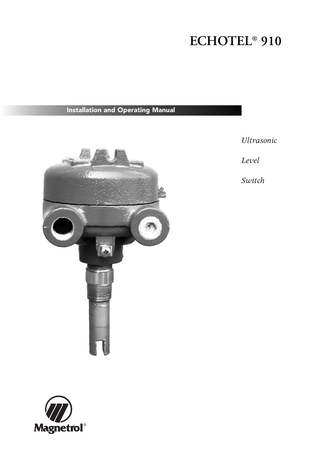# **ECHOTEL® 910**

# **Installation and Operating Manual**



*Ultrasonic*

*Level*

*Switch*

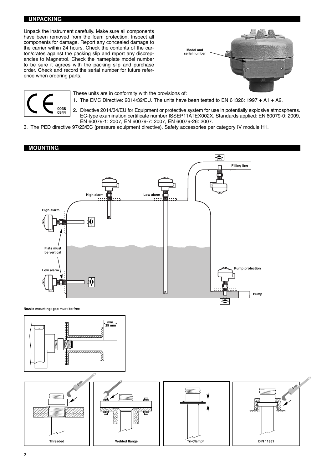#### **UNPACKING**

Unpack the instrument carefully. Make sure all components have been removed from the foam protection. Inspect all components for damage. Report any concealed damage to the carrier within 24 hours. Check the contents of the carton/crates against the packing slip and report any discrepancies to Magnetrol. Check the nameplate model number to be sure it agrees with the packing slip and purchase order. Check and record the serial number for future reference when ordering parts.





These units are in conformity with the provisions of: 1. The EMC Directive: 2014/32/EU. The units have been tested to EN 61326: 1997 + A1 + A2.

2. Directive 2014/34/EU for Equipment or protective system for use in potentially explosive atmospheres. EC-type examination certificate number ISSEP11ATEX002X. Standards applied: EN 60079-0: 2009, EN 60079-1: 2007, EN 60079-7: 2007, EN 60079-26: 2007.

3. The PED directive 97/23/EC (pressure equipment directive). Safety accessories per category IV module H1.

#### **MOUNTING**



**Nozzle mounting: gap must be free**



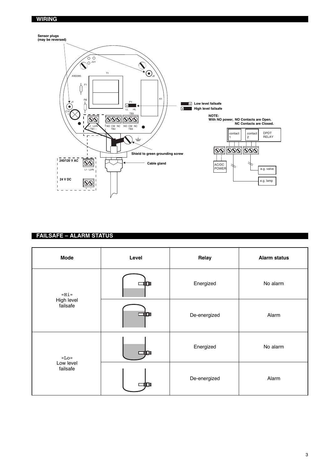#### **WIRING**



### **FAILSAFE – ALARM STATUS**

| <b>Mode</b>                    | Level | Relay        | <b>Alarm status</b> |
|--------------------------------|-------|--------------|---------------------|
| «Hi»<br>High level<br>failsafe |       | Energized    | No alarm            |
|                                | Œг    | De-energized | Alarm               |
| «Lo»                           |       | Energized    | No alarm            |
| Low level<br>failsafe          |       | De-energized | Alarm               |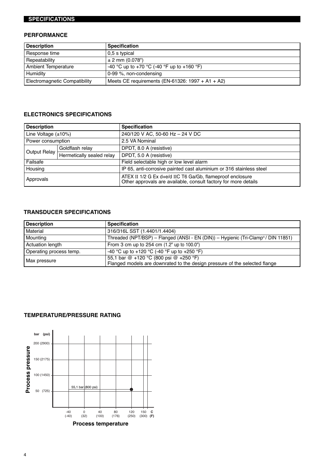# **SPECIFICATIONS**

### **PERFORMANCE**

| <b>Description</b>                   | <b>Specification</b>                                |
|--------------------------------------|-----------------------------------------------------|
| Response time                        | 0.5 s typical                                       |
| Repeatability                        | $\pm 2$ mm (0.078")                                 |
| <b>Ambient Temperature</b>           | -40 °C up to +70 °C (-40 °F up to +160 °F)          |
| Humidity                             | $0-99$ %, non-condensing                            |
| <b>Electromagnetic Compatibility</b> | Meets CE requirements (EN-61326: $1997 + A1 + A2$ ) |

## **ELECTRONICS SPECIFICATIONS**

| <b>Description</b>        |                           | <b>Specification</b>                                                                                                         |  |
|---------------------------|---------------------------|------------------------------------------------------------------------------------------------------------------------------|--|
| Line Voltage $(\pm 10\%)$ |                           | 240/120 V AC, 50-60 Hz - 24 V DC                                                                                             |  |
| Power consumption         |                           | 2.5 VA Nominal                                                                                                               |  |
| Output Relay              | Goldflash relay           | DPDT, 8.0 A (resistive)                                                                                                      |  |
|                           | Hermetically sealed relay | DPDT, 5.0 A (resistive)                                                                                                      |  |
| Failsafe                  |                           | Field selectable high or low level alarm                                                                                     |  |
| Housing                   |                           | IP 65, anti-corrosive painted cast aluminium or 316 stainless steel                                                          |  |
| Approvals                 |                           | ATEX II 1/2 G Ex d+e/d IIC T6 Ga/Gb, flameproof enclosure<br>Other approvals are available, consult factory for more details |  |

# **TRANSDUCER SPECIFICATIONS**

| <b>Description</b>      | <b>Specification</b>                                                                                                 |
|-------------------------|----------------------------------------------------------------------------------------------------------------------|
| Material                | 316/316L SST (1.4401/1.4404)                                                                                         |
| Mounting                | Threaded (NPT/BSP) – Flanged (ANSI - EN (DIN)) – Hygienic (Tri-Clamp®/ DIN 11851)                                    |
| <b>Actuation length</b> | From 3 cm up to 254 cm (1.2" up to 100.0")                                                                           |
| Operating process temp. | -40 °C up to +120 °C (-40 °F up to +250 °F)                                                                          |
| , Max pressure          | 55,1 bar @ +120 °C (800 psi @ +250 °F)<br>Flanged models are downrated to the design pressure of the selected flange |

#### **TEMPERATURE/PRESSURE RATING**

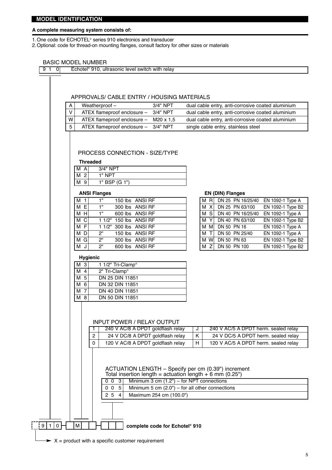#### **A complete measuring system consists of:**

1.One code for ECHOTEL® series 910 electronics and transducer

2.Optional: code for thread-on mounting flanges, consult factory for other sizes or materials

#### BASIC MODEL NUMBER

| A              | APPROVALS/ CABLE ENTRY / HOUSING MATERIALS<br>Weatherproof-                                                               | 3/4" NPT<br>dual cable entry, anti-corrosive coated aluminium                                                                                                                                                         |                                       |
|----------------|---------------------------------------------------------------------------------------------------------------------------|-----------------------------------------------------------------------------------------------------------------------------------------------------------------------------------------------------------------------|---------------------------------------|
| v              | ATEX flameproof enclosure -<br>3/4" NPT                                                                                   | dual cable entry, anti-corrosive coated aluminium                                                                                                                                                                     |                                       |
| W              | ATEX flameproof enclosure -                                                                                               | dual cable entry, anti-corrosive coated aluminium<br>M20 x 1,5                                                                                                                                                        |                                       |
| 5              | ATEX flameproof enclosure -<br>3/4" NPT                                                                                   | single cable entry, stainless steel                                                                                                                                                                                   |                                       |
| M A            | PROCESS CONNECTION - SIZE/TYPE<br><b>Threaded</b><br>3/4" NPT                                                             |                                                                                                                                                                                                                       |                                       |
| M 2            | 1" NPT                                                                                                                    |                                                                                                                                                                                                                       |                                       |
| M 9            | 1" BSP (G 1")                                                                                                             |                                                                                                                                                                                                                       |                                       |
|                | <b>ANSI Flanges</b>                                                                                                       | <b>EN (DIN) Flanges</b>                                                                                                                                                                                               |                                       |
| M <sub>1</sub> | $\overline{1}$ "<br>150 lbs ANSI RF                                                                                       | DN 25 PN 16/25/40<br>M <sub>R</sub>                                                                                                                                                                                   | EN 1092-1 Type A                      |
| M E            | 1 <sup>n</sup><br>300 lbs ANSI RF                                                                                         | M X<br>DN 25 PN 63/100                                                                                                                                                                                                | EN 1092-1 Type B2                     |
| M H            | 1 <sup>n</sup><br>600 lbs ANSI RF                                                                                         | DN 40 PN 16/25/40<br>M S                                                                                                                                                                                              | EN 1092-1 Type A                      |
| M C<br>M F     | 1 1/2" 150 lbs ANSI RF<br>1 1/2" 300 lbs ANSI RF                                                                          | DN 40 PN 63/100<br>$\mathsf{Y}$<br>М<br>DN 50 PN 16<br>M M                                                                                                                                                            | EN 1092-1 Type B2<br>EN 1092-1 Type A |
| M D            | 2 <sup>n</sup><br>150 lbs ANSI RF                                                                                         | $\mathsf{T}$<br>DN 50 PN 25/40<br>M                                                                                                                                                                                   | EN 1092-1 Type A                      |
| M G            | 2 <sup>n</sup><br>300 lbs ANSI RF                                                                                         | DN 50 PN 63<br>M W                                                                                                                                                                                                    | EN 1092-1 Type B2                     |
| M<br>J         | 2"<br>600 lbs ANSI RF                                                                                                     | M $\overline{Z}$<br>DN 50 PN 100                                                                                                                                                                                      | EN 1092-1 Type B2                     |
|                | Hygienic                                                                                                                  |                                                                                                                                                                                                                       |                                       |
| M 3            | 1 1/2" Tri-Clamp®                                                                                                         |                                                                                                                                                                                                                       |                                       |
| M 4            | 2" Tri-Clamp®                                                                                                             |                                                                                                                                                                                                                       |                                       |
| M 5            | <b>DN 25 DIN 11851</b>                                                                                                    |                                                                                                                                                                                                                       |                                       |
| M 6            | DN 32 DIN 11851                                                                                                           |                                                                                                                                                                                                                       |                                       |
| M 7<br>M 8     | DN 40 DIN 11851<br>DN 50 DIN 11851                                                                                        |                                                                                                                                                                                                                       |                                       |
|                | <b>INPUT POWER / RELAY OUTPUT</b>                                                                                         |                                                                                                                                                                                                                       |                                       |
|                | 240 V AC/8 A DPDT goldflash relay                                                                                         | 240 V AC/5 A DPDT herm. sealed relay<br>J<br>K                                                                                                                                                                        |                                       |
|                | 2<br>24 V DC/8 A DPDT goldflash relay<br>120 V AC/8 A DPDT goldflash relay<br>0                                           | 24 V DC/5 A DPDT herm. sealed relay<br>H<br>120 V AC/5 A DPDT herm. sealed relay                                                                                                                                      |                                       |
|                | 0 <sub>0</sub><br>$\overline{3}$<br>0 <sub>0</sub><br>$5\phantom{.0}$<br>2 5<br>$\overline{4}$<br>Maximum 254 cm (100.0") | ACTUATION LENGTH - Specify per cm (0.39") increment<br>Total insertion length = actuation length $+ 6$ mm (0.25")<br>Minimum 3 cm $(1.2")$ – for NPT connections<br>Minimum 5 cm $(2.0")$ – for all other connections |                                       |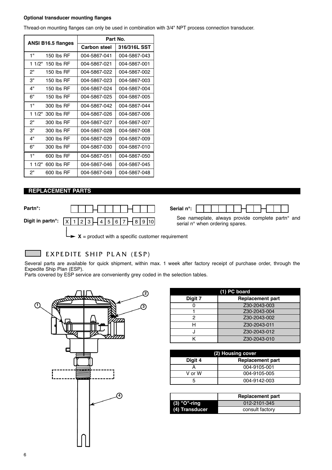#### **Optional transducer mounting flanges**

Thread-on mounting flanges can only be used in combination with 3/4" NPT process connection transducer.

| <b>ANSI B16.5 flanges</b> |                   | Part No.            |              |
|---------------------------|-------------------|---------------------|--------------|
|                           |                   | <b>Carbon steel</b> | 316/316L SST |
| 1"                        | 150 lbs RF        | 004-5867-041        | 004-5867-043 |
|                           | 1 1/2" 150 lbs RF | 004-5867-021        | 004-5867-001 |
| 2"                        | 150 lbs $RF$      | 004-5867-022        | 004-5867-002 |
| 3"                        | 150 lbs RF        | 004-5867-023        | 004-5867-003 |
| 4"                        | 150 lbs $RF$      | 004-5867-024        | 004-5867-004 |
| 6"                        | 150 lbs RF        | 004-5867-025        | 004-5867-005 |
| 1"                        | 300 lbs RF        | 004-5867-042        | 004-5867-044 |
| 1 1/2"                    | 300 lbs RF        | 004-5867-026        | 004-5867-006 |
| 2"                        | 300 lbs RF        | 004-5867-027        | 004-5867-007 |
| 3"                        | 300 lbs RF        | 004-5867-028        | 004-5867-008 |
| 4"                        | 300 lbs RF        | 004-5867-029        | 004-5867-009 |
| 6"                        | 300 lbs RF        | 004-5867-030        | 004-5867-010 |
| 1"                        | 600 lbs RF        | 004-5867-051        | 004-5867-050 |
| 1 1/2"                    | 600 lbs RF        | 004-5867-046        | 004-5867-045 |
| 2"                        | 600 lbs RF        | 004-5867-049        | 004-5867-048 |

#### **REPLACEMENT PARTS**

**Digit in partn°:**  $\begin{array}{|c|c|c|c|c|c|}\n\hline\nX & 1 & 2 & 3 & 4 & 5 & 6 & 7 & 8 & 9 & 10\n\end{array}$ 



serial n° when ordering spares.

 $X =$  product with a specific customer requirement

#### EXPEDITE SHIP PLAN (ESP)

Several parts are available for quick shipment, within max. 1 week after factory receipt of purchase order, through the Expedite Ship Plan (ESP).

Parts covered by ESP service are conveniently grey coded in the selection tables.



| (1) PC board |                         |  |
|--------------|-------------------------|--|
| Digit 7      | <b>Replacement part</b> |  |
|              | Z30-2043-003            |  |
|              | Z30-2043-004            |  |
| 2            | Z30-2043-002            |  |
| н            | Z30-2043-011            |  |
|              | Z30-2043-012            |  |
|              | Z30-2043-010            |  |

| (2) Housing cover |                         |  |
|-------------------|-------------------------|--|
| Digit 4           | <b>Replacement part</b> |  |
|                   | 004-9105-001            |  |
| V or W            | 004-9105-005            |  |
|                   | 004-9142-003            |  |

|                | <b>Replacement part</b> |
|----------------|-------------------------|
| (3) "O"-ring   | 012-2101-345            |
| (4) Transducer | consult factory         |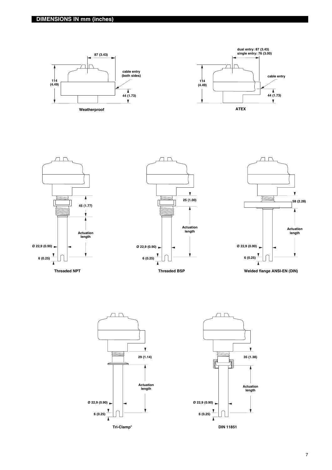





**Threaded NPT**





**Welded flange ANSI-EN (DIN)**